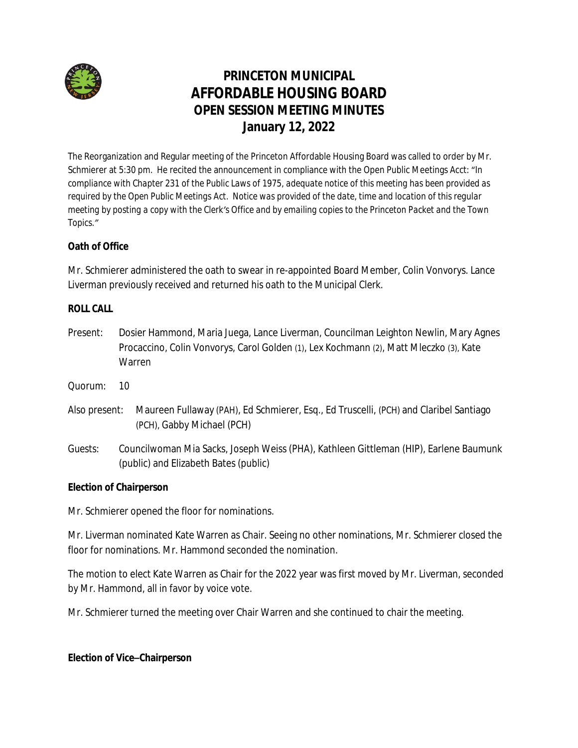

# **PRINCETON MUNICIPAL AFFORDABLE HOUSING BOARD OPEN SESSION MEETING MINUTES January 12, 2022**

The Reorganization and Regular meeting of the Princeton Affordable Housing Board was called to order by Mr. Schmierer at 5:30 pm. He recited the announcement in compliance with the Open Public Meetings Acct: "*In compliance with Chapter 231 of the Public Laws of 1975, adequate notice of this meeting has been provided as required by the Open Public Meetings Act. Notice was provided of the date, time and location of this regular meeting by posting a copy with the Clerk's Office and by emailing copies to the Princeton Packet and the Town Topics."*

## **Oath of Office**

Mr. Schmierer administered the oath to swear in re-appointed Board Member, Colin Vonvorys. Lance Liverman previously received and returned his oath to the Municipal Clerk.

## **ROLL CALL**

- Present: Dosier Hammond, Maria Juega, Lance Liverman, Councilman Leighton Newlin, Mary Agnes Procaccino, Colin Vonvorys, Carol Golden (1), Lex Kochmann (2), Matt Mleczko (3), Kate Warren
- Quorum: 10
- Also present: Maureen Fullaway (PAH), Ed Schmierer, Esq., Ed Truscelli, (PCH) and Claribel Santiago (PCH), Gabby Michael (PCH)
- *Guests*: Councilwoman Mia Sacks, Joseph Weiss (PHA), Kathleen Gittleman (HIP), Earlene Baumunk (public) and Elizabeth Bates (public)

## **Election of Chairperson**

Mr. Schmierer opened the floor for nominations.

Mr. Liverman nominated Kate Warren as Chair. Seeing no other nominations, Mr. Schmierer closed the floor for nominations. Mr. Hammond seconded the nomination.

The motion to elect Kate Warren as Chair for the 2022 year was first moved by Mr. Liverman, seconded by Mr. Hammond, all in favor by voice vote.

Mr. Schmierer turned the meeting over Chair Warren and she continued to chair the meeting.

#### **Election of Vice–Chairperson**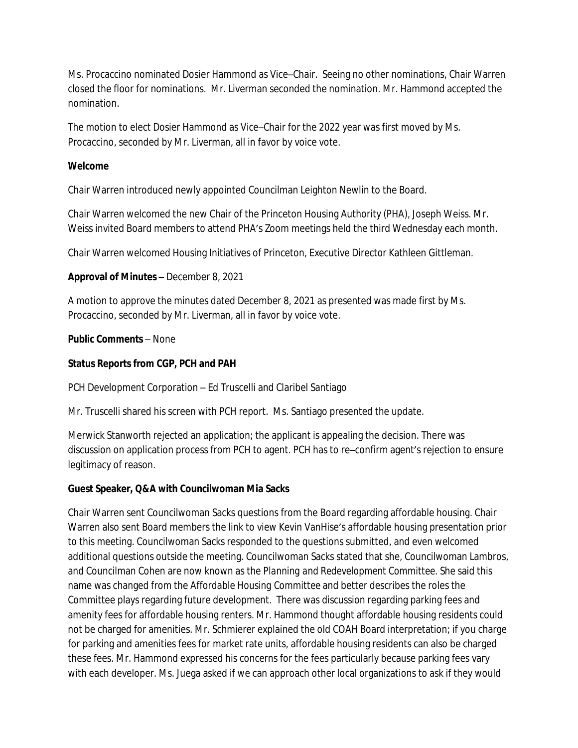Ms. Procaccino nominated Dosier Hammond as Vice–Chair. Seeing no other nominations, Chair Warren closed the floor for nominations. Mr. Liverman seconded the nomination. Mr. Hammond accepted the nomination.

The motion to elect Dosier Hammond as Vice–Chair for the 2022 year was first moved by Ms. Procaccino, seconded by Mr. Liverman, all in favor by voice vote.

#### **Welcome**

Chair Warren introduced newly appointed Councilman Leighton Newlin to the Board.

Chair Warren welcomed the new Chair of the Princeton Housing Authority (PHA), Joseph Weiss. Mr. Weiss invited Board members to attend PHA's Zoom meetings held the third Wednesday each month.

Chair Warren welcomed Housing Initiatives of Princeton, Executive Director Kathleen Gittleman.

#### **Approval of Minutes –** December 8, 2021

A motion to approve the minutes dated December 8, 2021 as presented was made first by Ms. Procaccino, seconded by Mr. Liverman, all in favor by voice vote.

#### **Public Comments** – None

## **Status Reports from CGP, PCH and PAH**

PCH Development Corporation – Ed Truscelli and Claribel Santiago

Mr. Truscelli shared his screen with PCH report. Ms. Santiago presented the update.

Merwick Stanworth rejected an application; the applicant is appealing the decision. There was discussion on application process from PCH to agent. PCH has to re–confirm agent's rejection to ensure legitimacy of reason.

#### **Guest Speaker, Q&A with Councilwoman Mia Sacks**

Chair Warren sent Councilwoman Sacks questions from the Board regarding affordable housing. Chair Warren also sent Board members the link to view Kevin VanHise's affordable housing presentation prior to this meeting. Councilwoman Sacks responded to the questions submitted, and even welcomed additional questions outside the meeting. Councilwoman Sacks stated that she, Councilwoman Lambros, and Councilman Cohen are now known as the *Planning and Redevelopment Committee.* She said this name was changed from the *Affordable Housing Committee* and better describes the roles the Committee plays regarding future development. There was discussion regarding parking fees and amenity fees for affordable housing renters. Mr. Hammond thought affordable housing residents could not be charged for amenities. Mr. Schmierer explained the old COAH Board interpretation; if you charge for parking and amenities fees for market rate units, affordable housing residents can also be charged these fees. Mr. Hammond expressed his concerns for the fees particularly because parking fees vary with each developer. Ms. Juega asked if we can approach other local organizations to ask if they would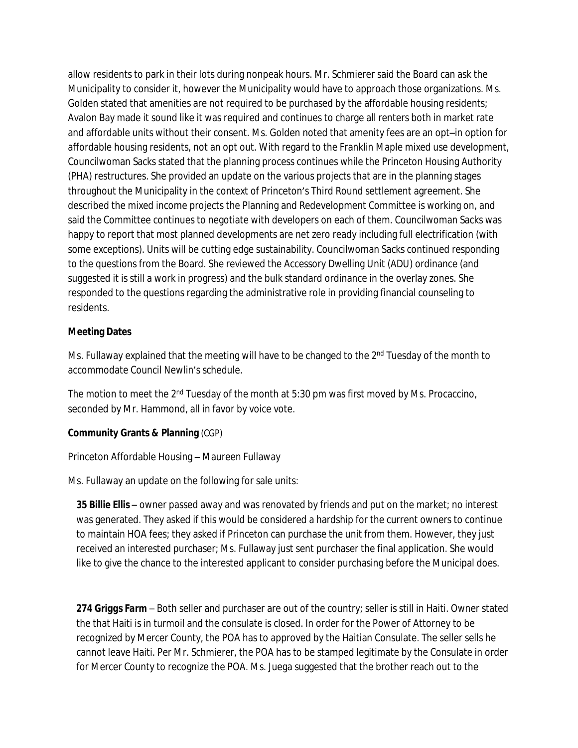allow residents to park in their lots during nonpeak hours. Mr. Schmierer said the Board can ask the Municipality to consider it, however the Municipality would have to approach those organizations. Ms. Golden stated that amenities are not required to be purchased by the affordable housing residents; Avalon Bay made it sound like it was required and continues to charge all renters both in market rate and affordable units without their consent. Ms. Golden noted that amenity fees are an opt–in option for affordable housing residents, not an opt out. With regard to the Franklin Maple mixed use development, Councilwoman Sacks stated that the planning process continues while the Princeton Housing Authority (PHA) restructures. She provided an update on the various projects that are in the planning stages throughout the Municipality in the context of Princeton's Third Round settlement agreement. She described the mixed income projects the Planning and Redevelopment Committee is working on, and said the Committee continues to negotiate with developers on each of them. Councilwoman Sacks was happy to report that most planned developments are net zero ready including full electrification (with some exceptions). Units will be cutting edge sustainability. Councilwoman Sacks continued responding to the questions from the Board. She reviewed the Accessory Dwelling Unit (ADU) ordinance (and suggested it is still a work in progress) and the bulk standard ordinance in the overlay zones. She responded to the questions regarding the administrative role in providing financial counseling to residents.

#### **Meeting Dates**

Ms. Fullaway explained that the meeting will have to be changed to the 2<sup>nd</sup> Tuesday of the month to accommodate Council Newlin's schedule.

The motion to meet the 2<sup>nd</sup> Tuesday of the month at 5:30 pm was first moved by Ms. Procaccino, seconded by Mr. Hammond, all in favor by voice vote.

## **Community Grants & Planning** (CGP)

Princeton Affordable Housing – Maureen Fullaway

Ms. Fullaway an update on the following for sale units:

*35 Billie Ellis* – owner passed away and was renovated by friends and put on the market; no interest was generated. They asked if this would be considered a hardship for the current owners to continue to maintain HOA fees; they asked if Princeton can purchase the unit from them. However, they just received an interested purchaser; Ms. Fullaway just sent purchaser the final application. She would like to give the chance to the interested applicant to consider purchasing before the Municipal does.

*274 Griggs Farm* – Both seller and purchaser are out of the country; seller is still in Haiti. Owner stated the that Haiti is in turmoil and the consulate is closed. In order for the Power of Attorney to be recognized by Mercer County, the POA has to approved by the Haitian Consulate. The seller sells he cannot leave Haiti. Per Mr. Schmierer, the POA has to be stamped legitimate by the Consulate in order for Mercer County to recognize the POA. Ms. Juega suggested that the brother reach out to the